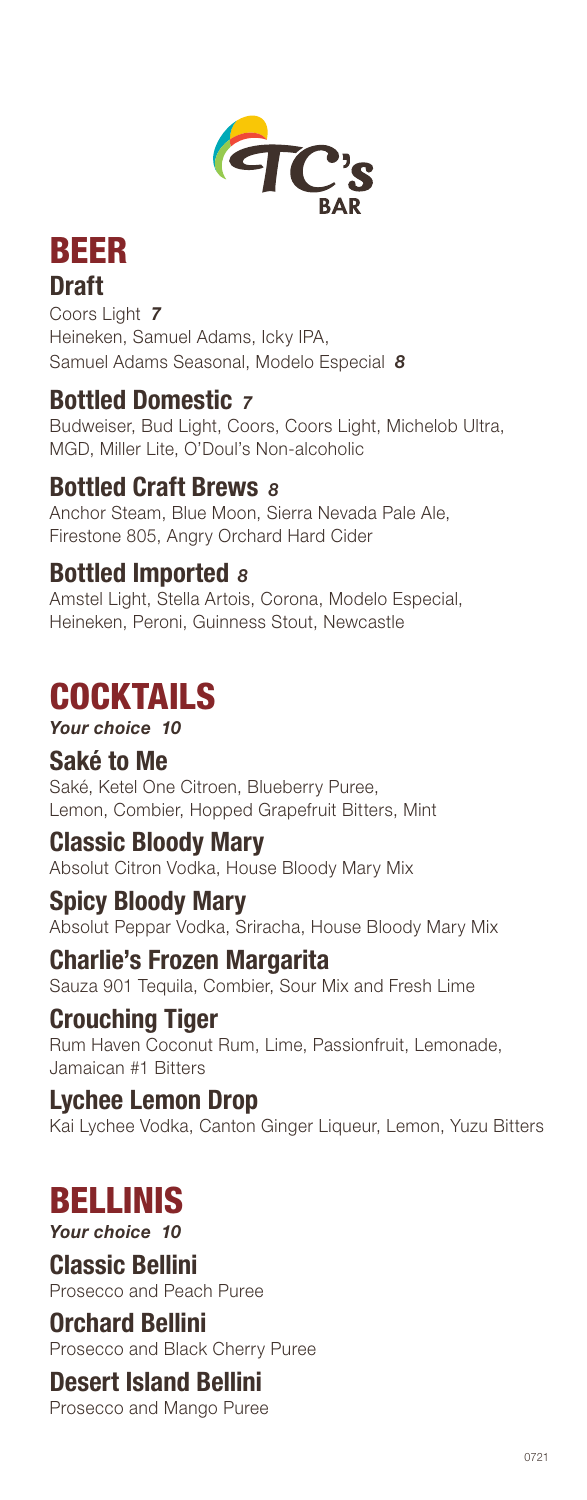



 Draft Samuel Adams Seasonal, Modelo Especial *8*  Coors Light *7*  Heineken, Samuel Adams, Icky IPA,

### Bottled Domestic <sub>7</sub>

Budweiser, Bud Light, Coors, Coors Light, Michelob Ultra, MGD, Miller Lite, O'Doul's Non-alcoholic

### Bottled Craft Brews  $8$

Anchor Steam, Blue Moon, Sierra Nevada Pale Ale, Firestone 805, Angry Orchard Hard Cider

### Bottled Imported *<sup>8</sup>*

Amstel Light, Stella Artois, Corona, Modelo Especial, Heineken, Peroni, Guinness Stout, Newcastle

### **COCKTAILS**

#### *Your choice 10*

### Saké to Me

Saké, Ketel One Citroen, Blueberry Puree, Lemon, Combier, Hopped Grapefruit Bitters, Mint

### Classic Bloody Mary

Absolut Citron Vodka, House Bloody Mary Mix

### Spicy Bloody Mary

Absolut Peppar Vodka, Sriracha, House Bloody Mary Mix

### Charlie's Frozen Margarita

Sauza 901 Tequila, Combier, Sour Mix and Fresh Lime

### Crouching Tiger

Rum Haven Coconut Rum, Lime, Passionfruit, Lemonade, Jamaican #1 Bitters

### Lychee Lemon Drop

Kai Lychee Vodka, Canton Ginger Liqueur, Lemon, Yuzu Bitters

## BELLINIS

*Your choice 10* 

### Classic Bellini

Prosecco and Peach Puree

### Orchard Bellini

Prosecco and Black Cherry Puree

### Desert Island Bellini

Prosecco and Mango Puree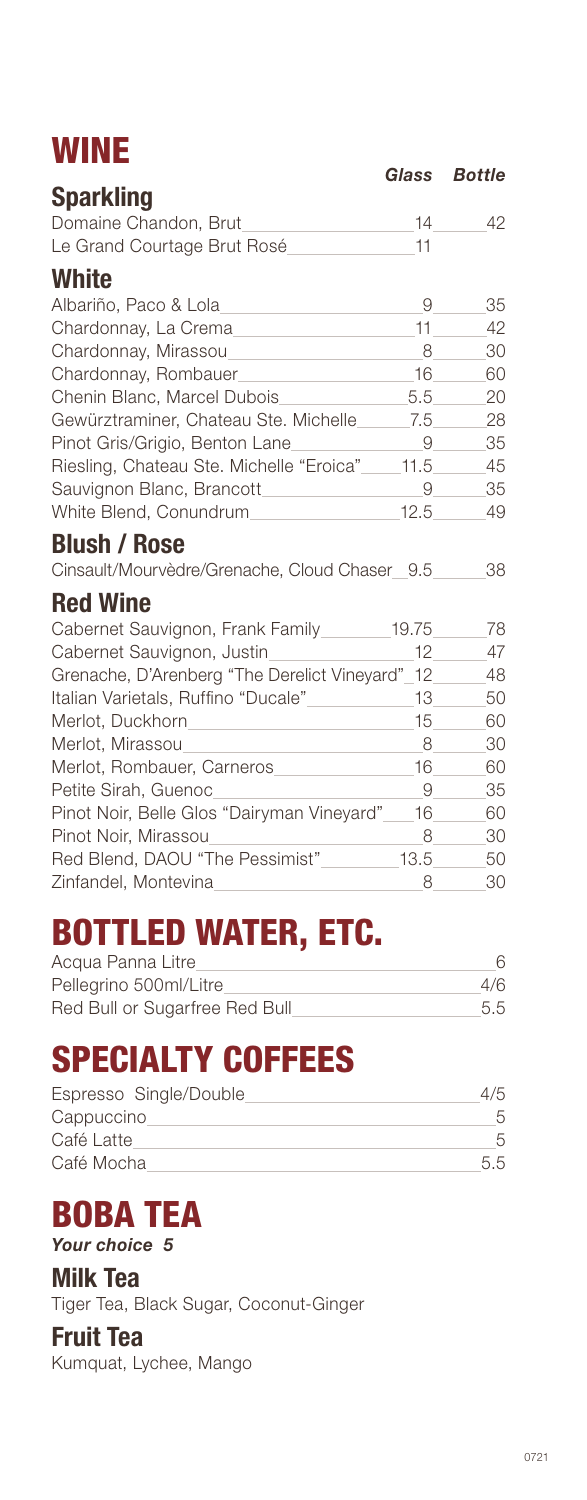# WINE *Glass Bottle*

| <b>Sparkling</b>                                                                | ulass | DULLIC |
|---------------------------------------------------------------------------------|-------|--------|
| Domaine Chandon, Brut                                                           | 14    | 42     |
| Le Grand Courtage Brut Rosé                                                     | 11    |        |
| <b>White</b>                                                                    |       |        |
| Albariño, Paco & Lola                                                           | 9     | 35     |
| Chardonnay, La Crema                                                            | 11    | 42     |
| Chardonnay, Mirassou                                                            | 8     | 30     |
| Chardonnay, Rombauer                                                            | 16    | 60     |
| Chenin Blanc, Marcel Dubois                                                     | 5.5   | 20     |
| Gewürztraminer, Chateau Ste. Michelle 7.5                                       |       | 28     |
| Pinot Gris/Grigio, Benton Lane                                                  | 9     | 35     |
| Riesling, Chateau Ste. Michelle "Eroica"                                        | 11.5  | 45     |
| Sauvignon Blanc, Brancott                                                       | 9     | 35     |
| White Blend, Conundrum                                                          | 12.5  | 49     |
| <b>Blush / Rose</b>                                                             |       |        |
| Cinsault/Mourvèdre/Grenache, Cloud Chaser_9.5_                                  |       | 38     |
| <b>Red Wine</b>                                                                 |       |        |
| Cabernet Sauvignon, Frank Family 19.75                                          |       | 78     |
| Cabernet Sauvignon, Justin                                                      | 12    | 47     |
| Grenache, D'Arenberg "The Derelict Vineyard"_12_                                |       | 48     |
| Italian Varietals, Ruffino "Ducale"                                             | 13    | 50     |
|                                                                                 | 15    | 60     |
| Merlot, Mirassou<br>the control of the control of the control of the control of | 8     | 30     |
| Merlot, Rombauer, Carneros                                                      | 16    | 60     |
| Petite Sirah, Guenoc                                                            | 9     | 35     |
| Pinot Noir, Belle Glos "Dairyman Vineyard" 16                                   |       | 60     |
| Pinot Noir, Mirassou                                                            | 8     | 30     |
|                                                                                 | 13.5  | 50     |
| Zinfandel, Montevina                                                            | 8     | 30     |

# BOTTLED WATER, ETC.

| Acqua Panna Litre              |     |
|--------------------------------|-----|
| Pellegrino 500ml/Litre         | 4/6 |
| Red Bull or Sugarfree Red Bull | 5.5 |

# SPECIALTY COFFEES

| Espresso Single/Double |        |
|------------------------|--------|
| Cappuccino             |        |
| Café Latte             |        |
| Café Mocha             | $55 -$ |

### BOBA TEA *Your choice 5*

Milk Tea Tiger Tea, Black Sugar, Coconut-Ginger

### Fruit Tea

Kumquat, Lychee, Mango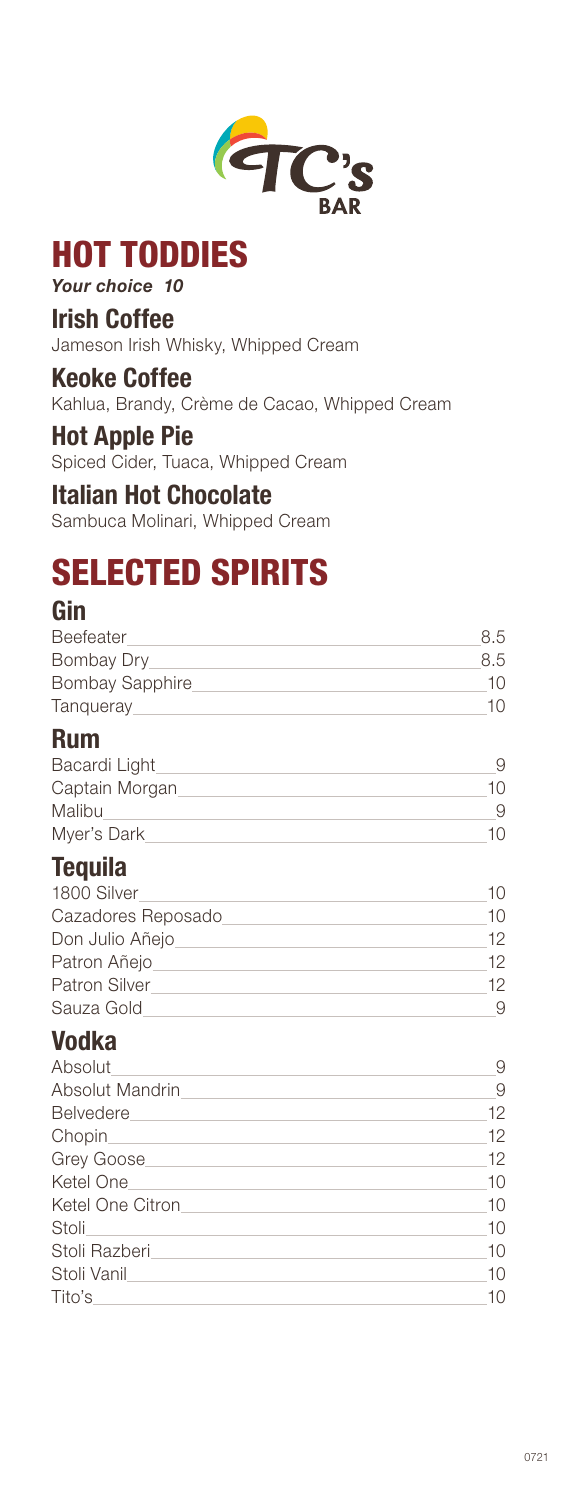

# HOT TODDIES

### *Your choice 10*

### Irish Coffee

Jameson Irish Whisky, Whipped Cream

### Keoke Coffee

Kahlua, Brandy, Crème de Cacao, Whipped Cream

#### Hot Apple Pie

Spiced Cider, Tuaca, Whipped Cream

### Italian Hot Chocolate

Sambuca Molinari, Whipped Cream

# SELECTED SPIRITS

### Gin

| Beefeater       | 8.5 |
|-----------------|-----|
| Bombay Dry      | 8.5 |
| Bombay Sapphire | 10. |
| Tanqueray       |     |

### Rum

| Bacardi Light  |     |
|----------------|-----|
| Captain Morgan | 10. |
| Malibu         |     |
| Myer's Dark    | 10. |

### **Tequila**

| 1800 Silver          | 1()             |
|----------------------|-----------------|
| Cazadores Reposado   | 1 $\cap$        |
| Don Julio Añejo      | 12.             |
| Patron Añejo         | 12 <sup>°</sup> |
| <b>Patron Silver</b> | 12.             |
| Sauza Gold           |                 |

### Vodka

| Absolut          |    |
|------------------|----|
| Absolut Mandrin  | 9  |
| Belvedere        | 12 |
|                  | 12 |
| Grey Goose       | 12 |
| Ketel One        | 10 |
| Ketel One Citron | 10 |
| Stoli            | 10 |
| Stoli Razberi    | 10 |
| Stoli Vanil      | 10 |
| Tito's           | 10 |